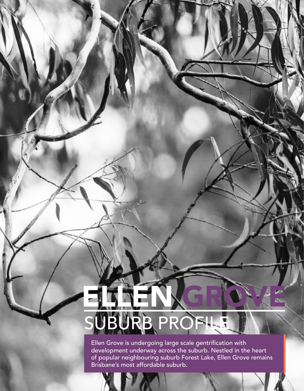# ELLEN KEROLLE RB PROFIL

Ellen Grove is undergoing large scale gentrification with development underway across the suburb. Nestled in the heart of popular neighbouring suburb Forest Lake, Ellen Grove remains Brisbane's most affordable suburb.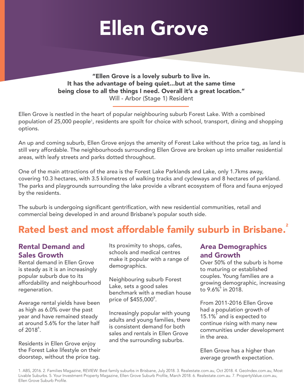## Ellen Grove

"Ellen Grove is a lovely suburb to live in. It has the advantage of being quiet...but at the same time being close to all the things I need. Overall it's a great location." Will - Arbor (Stage 1) Resident

Ellen Grove is nestled in the heart of popular neighbouring suburb Forest Lake. With a combined population of 25,000 people1, residents are spoilt for choice with school, transport, dining and shopping options.

An up and coming suburb, Ellen Grove enjoys the amenity of Forest Lake without the price tag, as land is still very affordable. The neighbourhoods surrounding Ellen Grove are broken up into smaller residential areas, with leafy streets and parks dotted throughout.

One of the main attractions of the area is the Forest Lake Parklands and Lake, only 1.7kms away, covering 10.3 hectares, with 3.5 kilometres of walking tracks and cycleways and 8 hectares of parkland. The parks and playgrounds surrounding the lake provide a vibrant ecosystem of flora and fauna enjoyed by the residents.

The suburb is undergoing significant gentrification, with new residential communities, retail and commercial being developed in and around Brisbane's popular south side.

## Rated best and most affordable family suburb in Brisbane.<sup>2</sup>

## Rental Demand and Sales Growth

Rental demand in Ellen Grove is steady as it is an increasingly popular suburb due to its affordability and neighbourhood regeneration.

Average rental yields have been as high as 6.0% over the past year and have remained steady at around 5.6% for the later half of 2018 $^{\circ}$ .

Residents in Ellen Grove enjoy the Forest Lake lifestyle on their doorstep, without the price tag.

Its proximity to shops, cafes, schools and medical centres make it popular with a range of demographics.

Neighbouring suburb Forest Lake, sets a good sales benchmark with a median house price of \$455,000<sup>6</sup>.

Increasingly popular with young adults and young families, there is consistent demand for both sales and rentals in Ellen Grove and the surrounding suburbs.

## Area Demographics and Growth

Over 50% of the suburb is home to maturing or established couples. Young families are a growing demographic, increasing to  $9.6\%$  in 2018.

From 2011-2016 Ellen Grove had a population growth of 15.1%<sup>7</sup> and is expected to continue rising with many new communities under development in the area.

Ellen Grove has a higher than average growth expectation.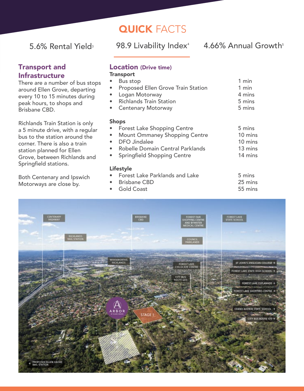## **QUICK FACTS**

5.6% Rental Yield<sup>3</sup> 98.9 Livability Index<sup>4</sup> 4.66% Annual Growth<sup>5</sup>

## Transport and Infrastructure

There are a number of bus stops around Ellen Grove, departing every 10 to 15 minutes during peak hours, to shops and Brisbane CBD.

Richlands Train Station is only a 5 minute drive, with a regular bus to the station around the corner. There is also a train station planned for Ellen Grove, between Richlands and Springfield stations.

Both Centenary and Ipswich Motorways are close by.

#### Location (Drive time) **Transport**

- 
- Bus stop 1 min<br>• Proposed Ellen Grove Train Station 1 min Proposed Ellen Grove Train Station
	- Logan Motorway 4 mins
- Richlands Train Station 5 mins
	- **Centenary Motorway**

#### Shops

**Forest Lake Shopping Centre** 5 mins Mount Ommaney Shopping Centre 10 mins **DFO Jindalee** 10 mins • Robelle Domain Central Parklands 13 mins Springfield Shopping Centre

### Lifestyle

- **Forest Lake Parklands and Lake 5 mins<br>Brisbane CBD** 25 mins
- extending Brisbane CBD 25 mins<br>
Gold Coast 55 mins
- Gold Coast
- 
- 
-